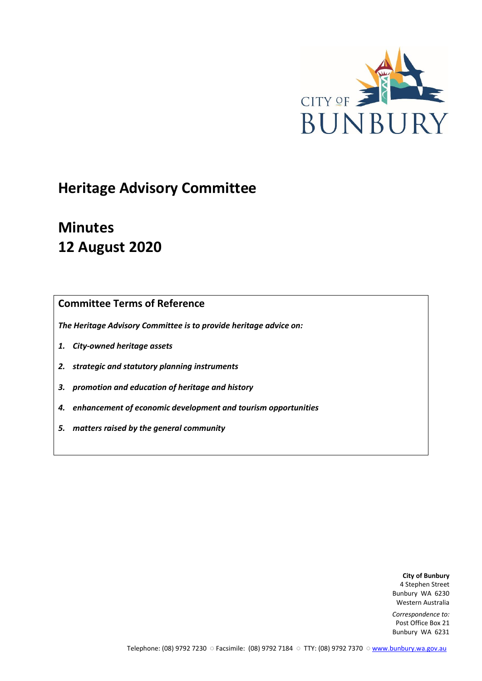

## **Heritage Advisory Committee**

# **Minutes 12 August 2020**

## **Committee Terms of Reference**

*The Heritage Advisory Committee is to provide heritage advice on:*

- *1. City-owned heritage assets*
- *2. strategic and statutory planning instruments*
- *3. promotion and education of heritage and history*
- *4. enhancement of economic development and tourism opportunities*
- *5. matters raised by the general community*

**City of Bunbury** 4 Stephen Street Bunbury WA 6230 Western Australia

*Correspondence to:* Post Office Box 21 Bunbury WA 6231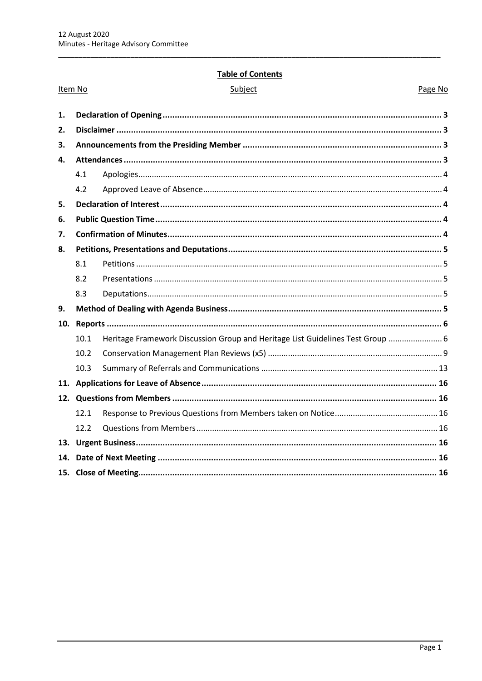Item No

## **Table of Contents**

Page No

| 1.<br>2.<br>3.<br>4.<br>4.1<br>4.2<br>5.<br>6.<br>7.<br>8.<br>8.1<br>8.2<br>8.3<br>9.<br>10.<br>10.1<br>10.2<br>10.3<br>11.<br>12.1<br>12.2<br>13.<br>14. |                                                                                |  |
|-----------------------------------------------------------------------------------------------------------------------------------------------------------|--------------------------------------------------------------------------------|--|
|                                                                                                                                                           |                                                                                |  |
|                                                                                                                                                           |                                                                                |  |
|                                                                                                                                                           |                                                                                |  |
|                                                                                                                                                           |                                                                                |  |
|                                                                                                                                                           |                                                                                |  |
|                                                                                                                                                           |                                                                                |  |
|                                                                                                                                                           |                                                                                |  |
|                                                                                                                                                           |                                                                                |  |
|                                                                                                                                                           |                                                                                |  |
|                                                                                                                                                           |                                                                                |  |
|                                                                                                                                                           |                                                                                |  |
|                                                                                                                                                           |                                                                                |  |
|                                                                                                                                                           |                                                                                |  |
|                                                                                                                                                           |                                                                                |  |
|                                                                                                                                                           |                                                                                |  |
|                                                                                                                                                           | Heritage Framework Discussion Group and Heritage List Guidelines Test Group  6 |  |
|                                                                                                                                                           |                                                                                |  |
|                                                                                                                                                           |                                                                                |  |
|                                                                                                                                                           |                                                                                |  |
|                                                                                                                                                           |                                                                                |  |
|                                                                                                                                                           |                                                                                |  |
|                                                                                                                                                           |                                                                                |  |
|                                                                                                                                                           |                                                                                |  |
|                                                                                                                                                           |                                                                                |  |
|                                                                                                                                                           |                                                                                |  |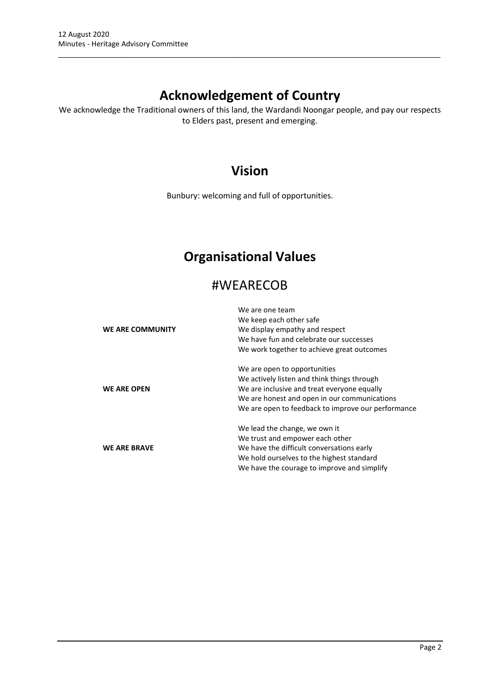## **Acknowledgement of Country**

\_\_\_\_\_\_\_\_\_\_\_\_\_\_\_\_\_\_\_\_\_\_\_\_\_\_\_\_\_\_\_\_\_\_\_\_\_\_\_\_\_\_\_\_\_\_\_\_\_\_\_\_\_\_\_\_\_\_\_\_\_\_\_\_\_\_\_\_\_\_\_\_\_\_\_\_\_\_\_\_\_\_\_\_\_\_\_\_\_\_\_\_\_\_\_

We acknowledge the Traditional owners of this land, the Wardandi Noongar people, and pay our respects to Elders past, present and emerging.

## **Vision**

Bunbury: welcoming and full of opportunities.

## **Organisational Values**

## #WEARECOB

|                     | We are one team                                    |
|---------------------|----------------------------------------------------|
|                     | We keep each other safe                            |
| WE ARE COMMUNITY    | We display empathy and respect                     |
|                     | We have fun and celebrate our successes            |
|                     | We work together to achieve great outcomes         |
|                     | We are open to opportunities                       |
|                     | We actively listen and think things through        |
| <b>WE ARE OPEN</b>  | We are inclusive and treat everyone equally        |
|                     | We are honest and open in our communications       |
|                     | We are open to feedback to improve our performance |
|                     | We lead the change, we own it                      |
|                     | We trust and empower each other                    |
| <b>WE ARE BRAVE</b> | We have the difficult conversations early          |
|                     | We hold ourselves to the highest standard          |
|                     | We have the courage to improve and simplify        |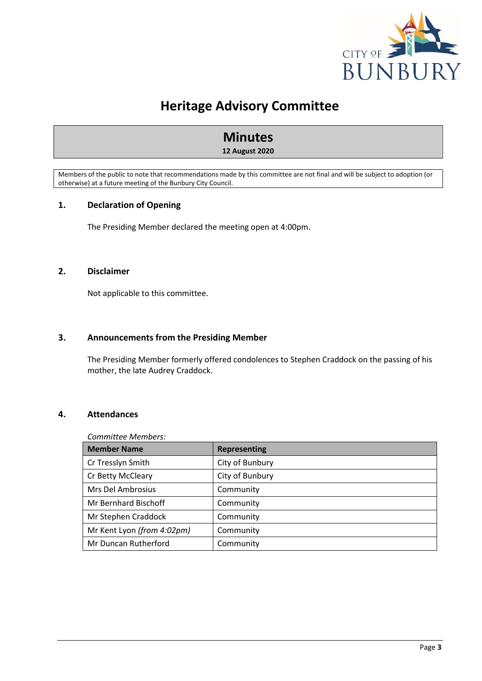

## **Heritage Advisory Committee**

# **Minutes**

**12 August 2020**

Members of the public to note that recommendations made by this committee are not final and will be subject to adoption (or otherwise) at a future meeting of the Bunbury City Council.

## <span id="page-3-0"></span>**1. Declaration of Opening**

The Presiding Member declared the meeting open at 4:00pm.

## <span id="page-3-1"></span>**2. Disclaimer**

Not applicable to this committee.

## <span id="page-3-2"></span>**3. Announcements from the Presiding Member**

The Presiding Member formerly offered condolences to Stephen Craddock on the passing of his mother, the late Audrey Craddock.

## <span id="page-3-3"></span>**4. Attendances**

### *Committee Members:*

| <b>Member Name</b>         | <b>Representing</b> |
|----------------------------|---------------------|
| Cr Tresslyn Smith          | City of Bunbury     |
| Cr Betty McCleary          | City of Bunbury     |
| Mrs Del Ambrosius          | Community           |
| Mr Bernhard Bischoff       | Community           |
| Mr Stephen Craddock        | Community           |
| Mr Kent Lyon (from 4:02pm) | Community           |
| Mr Duncan Rutherford       | Community           |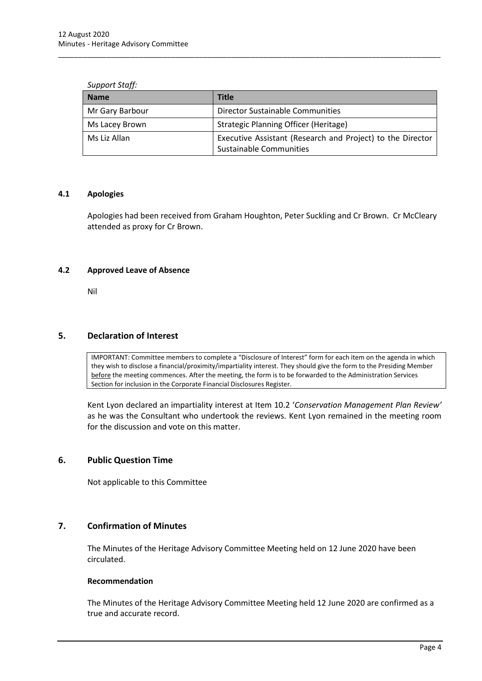| <b>Name</b>     | Title                                                                                 |
|-----------------|---------------------------------------------------------------------------------------|
| Mr Gary Barbour | <b>Director Sustainable Communities</b>                                               |
| Ms Lacey Brown  | Strategic Planning Officer (Heritage)                                                 |
| Ms Liz Allan    | Executive Assistant (Research and Project) to the Director<br>Sustainable Communities |

\_\_\_\_\_\_\_\_\_\_\_\_\_\_\_\_\_\_\_\_\_\_\_\_\_\_\_\_\_\_\_\_\_\_\_\_\_\_\_\_\_\_\_\_\_\_\_\_\_\_\_\_\_\_\_\_\_\_\_\_\_\_\_\_\_\_\_\_\_\_\_\_\_\_\_\_\_\_\_\_\_\_\_\_\_\_\_\_\_\_\_\_\_\_\_

### *Support Staff:*

### <span id="page-4-0"></span>**4.1 Apologies**

Apologies had been received from Graham Houghton, Peter Suckling and Cr Brown. Cr McCleary attended as proxy for Cr Brown.

### <span id="page-4-1"></span>**4.2 Approved Leave of Absence**

Nil

## <span id="page-4-2"></span>**5. Declaration of Interest**

IMPORTANT: Committee members to complete a "Disclosure of Interest" form for each item on the agenda in which they wish to disclose a financial/proximity/impartiality interest. They should give the form to the Presiding Member before the meeting commences. After the meeting, the form is to be forwarded to the Administration Services Section for inclusion in the Corporate Financial Disclosures Register.

Kent Lyon declared an impartiality interest at Item 10.2 '*Conservation Management Plan Review'* as he was the Consultant who undertook the reviews. Kent Lyon remained in the meeting room for the discussion and vote on this matter.

## <span id="page-4-3"></span>**6. Public Question Time**

Not applicable to this Committee

## <span id="page-4-4"></span>**7. Confirmation of Minutes**

The Minutes of the Heritage Advisory Committee Meeting held on 12 June 2020 have been circulated.

### **Recommendation**

The Minutes of the Heritage Advisory Committee Meeting held 12 June 2020 are confirmed as a true and accurate record.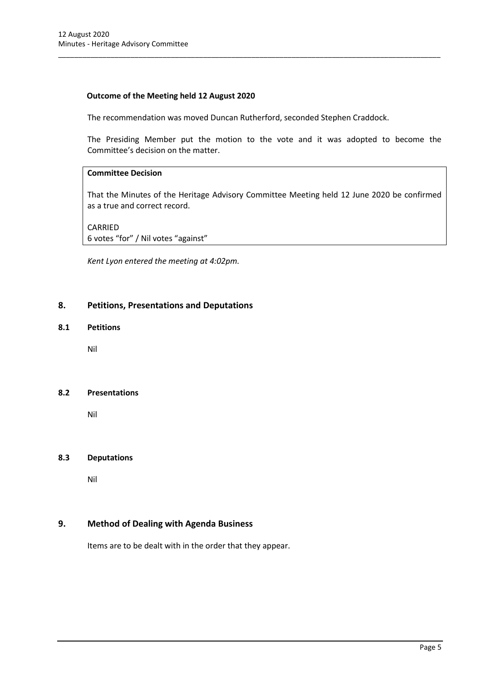## **Outcome of the Meeting held 12 August 2020**

The recommendation was moved Duncan Rutherford, seconded Stephen Craddock.

\_\_\_\_\_\_\_\_\_\_\_\_\_\_\_\_\_\_\_\_\_\_\_\_\_\_\_\_\_\_\_\_\_\_\_\_\_\_\_\_\_\_\_\_\_\_\_\_\_\_\_\_\_\_\_\_\_\_\_\_\_\_\_\_\_\_\_\_\_\_\_\_\_\_\_\_\_\_\_\_\_\_\_\_\_\_\_\_\_\_\_\_\_\_\_

The Presiding Member put the motion to the vote and it was adopted to become the Committee's decision on the matter.

## **Committee Decision**

That the Minutes of the Heritage Advisory Committee Meeting held 12 June 2020 be confirmed as a true and correct record.

CARRIED 6 votes "for" / Nil votes "against"

*Kent Lyon entered the meeting at 4:02pm.*

## <span id="page-5-0"></span>**8. Petitions, Presentations and Deputations**

## <span id="page-5-1"></span>**8.1 Petitions**

Nil

### <span id="page-5-2"></span>**8.2 Presentations**

Nil

### <span id="page-5-3"></span>**8.3 Deputations**

Nil

## <span id="page-5-4"></span>**9. Method of Dealing with Agenda Business**

Items are to be dealt with in the order that they appear.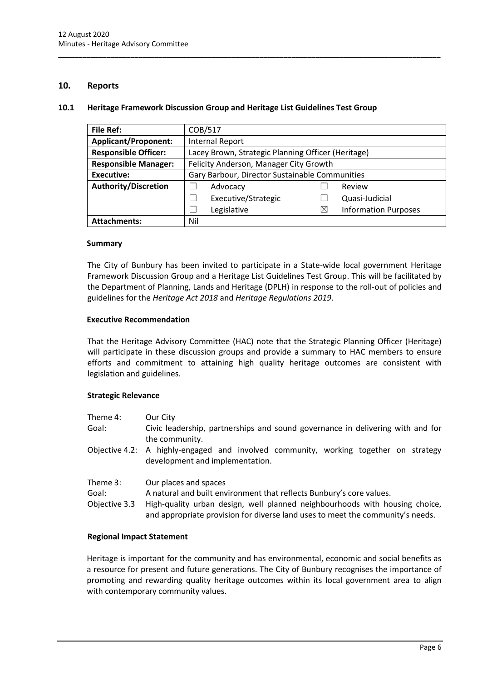## <span id="page-6-0"></span>**10. Reports**

#### <span id="page-6-1"></span>**10.1 Heritage Framework Discussion Group and Heritage List Guidelines Test Group**

\_\_\_\_\_\_\_\_\_\_\_\_\_\_\_\_\_\_\_\_\_\_\_\_\_\_\_\_\_\_\_\_\_\_\_\_\_\_\_\_\_\_\_\_\_\_\_\_\_\_\_\_\_\_\_\_\_\_\_\_\_\_\_\_\_\_\_\_\_\_\_\_\_\_\_\_\_\_\_\_\_\_\_\_\_\_\_\_\_\_\_\_\_\_\_

| <b>File Ref:</b>            | COB/517                                            |   |                             |
|-----------------------------|----------------------------------------------------|---|-----------------------------|
| <b>Applicant/Proponent:</b> | <b>Internal Report</b>                             |   |                             |
| <b>Responsible Officer:</b> | Lacey Brown, Strategic Planning Officer (Heritage) |   |                             |
| <b>Responsible Manager:</b> | Felicity Anderson, Manager City Growth             |   |                             |
| Executive:                  | Gary Barbour, Director Sustainable Communities     |   |                             |
| <b>Authority/Discretion</b> | Advocacy                                           |   | Review                      |
|                             | Executive/Strategic                                |   | Quasi-Judicial              |
|                             | Legislative                                        | ⋉ | <b>Information Purposes</b> |
| <b>Attachments:</b>         | Nil                                                |   |                             |

#### **Summary**

The City of Bunbury has been invited to participate in a State-wide local government Heritage Framework Discussion Group and a Heritage List Guidelines Test Group. This will be facilitated by the Department of Planning, Lands and Heritage (DPLH) in response to the roll-out of policies and guidelines for the *Heritage Act 2018* and *Heritage Regulations 2019*.

#### **Executive Recommendation**

That the Heritage Advisory Committee (HAC) note that the Strategic Planning Officer (Heritage) will participate in these discussion groups and provide a summary to HAC members to ensure efforts and commitment to attaining high quality heritage outcomes are consistent with legislation and guidelines.

### **Strategic Relevance**

| Theme 4:                           | Our City                                                                                                                                                                                                                                                       |
|------------------------------------|----------------------------------------------------------------------------------------------------------------------------------------------------------------------------------------------------------------------------------------------------------------|
| Goal:                              | Civic leadership, partnerships and sound governance in delivering with and for<br>the community.                                                                                                                                                               |
|                                    | Objective 4.2: A highly-engaged and involved community, working together on strategy<br>development and implementation.                                                                                                                                        |
| Theme 3:<br>Goal:<br>Objective 3.3 | Our places and spaces<br>A natural and built environment that reflects Bunbury's core values.<br>High-quality urban design, well planned neighbourhoods with housing choice,<br>and appropriate provision for diverse land uses to meet the community's needs. |

### **Regional Impact Statement**

Heritage is important for the community and has environmental, economic and social benefits as a resource for present and future generations. The City of Bunbury recognises the importance of promoting and rewarding quality heritage outcomes within its local government area to align with contemporary community values.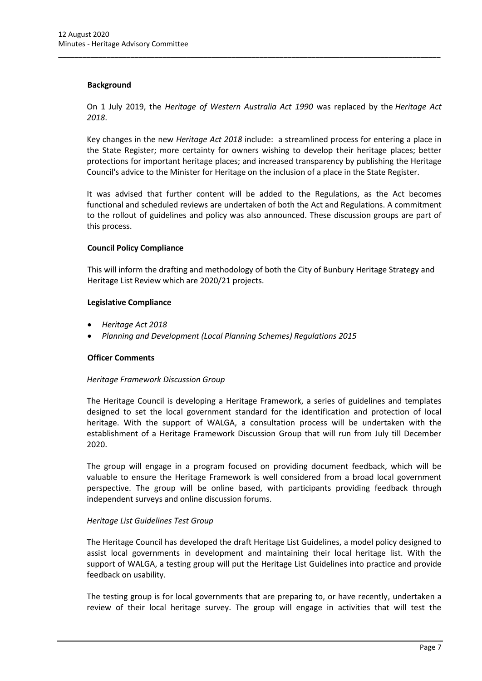## **Background**

On 1 July 2019, the *Heritage of Western Australia Act 1990* was replaced by the *Heritage Act 2018*.

\_\_\_\_\_\_\_\_\_\_\_\_\_\_\_\_\_\_\_\_\_\_\_\_\_\_\_\_\_\_\_\_\_\_\_\_\_\_\_\_\_\_\_\_\_\_\_\_\_\_\_\_\_\_\_\_\_\_\_\_\_\_\_\_\_\_\_\_\_\_\_\_\_\_\_\_\_\_\_\_\_\_\_\_\_\_\_\_\_\_\_\_\_\_\_

Key changes in the new *Heritage Act 2018* include: a streamlined process for entering a place in the State Register; more certainty for owners wishing to develop their heritage places; better protections for important heritage places; and increased transparency by publishing the Heritage Council's advice to the Minister for Heritage on the inclusion of a place in the State Register.

It was advised that further content will be added to the Regulations, as the Act becomes functional and scheduled reviews are undertaken of both the Act and Regulations. A commitment to the rollout of guidelines and policy was also announced. These discussion groups are part of this process.

## **Council Policy Compliance**

This will inform the drafting and methodology of both the City of Bunbury Heritage Strategy and Heritage List Review which are 2020/21 projects.

### **Legislative Compliance**

- *Heritage Act 2018*
- *Planning and Development (Local Planning Schemes) Regulations 2015*

### **Officer Comments**

### *Heritage Framework Discussion Group*

The Heritage Council is developing a Heritage Framework, a series of guidelines and templates designed to set the local government standard for the identification and protection of local heritage. With the support of WALGA, a consultation process will be undertaken with the establishment of a Heritage Framework Discussion Group that will run from July till December 2020.

The group will engage in a program focused on providing document feedback, which will be valuable to ensure the Heritage Framework is well considered from a broad local government perspective. The group will be online based, with participants providing feedback through independent surveys and online discussion forums.

## *Heritage List Guidelines Test Group*

The Heritage Council has developed the draft Heritage List Guidelines, a model policy designed to assist local governments in development and maintaining their local heritage list. With the support of WALGA, a testing group will put the Heritage List Guidelines into practice and provide feedback on usability.

The testing group is for local governments that are preparing to, or have recently, undertaken a review of their local heritage survey. The group will engage in activities that will test the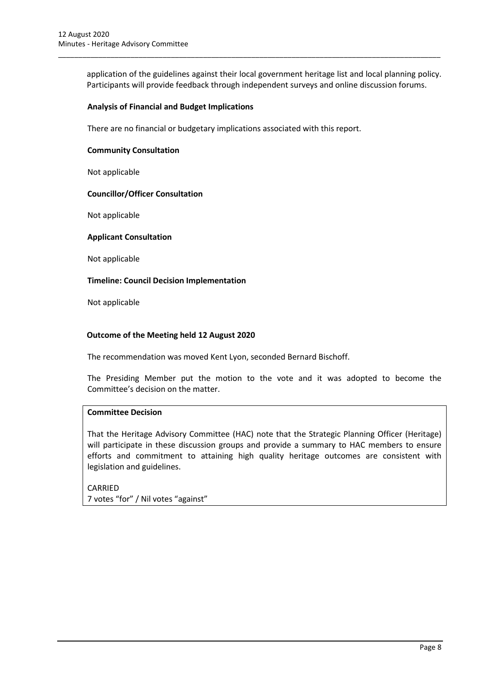application of the guidelines against their local government heritage list and local planning policy. Participants will provide feedback through independent surveys and online discussion forums.

\_\_\_\_\_\_\_\_\_\_\_\_\_\_\_\_\_\_\_\_\_\_\_\_\_\_\_\_\_\_\_\_\_\_\_\_\_\_\_\_\_\_\_\_\_\_\_\_\_\_\_\_\_\_\_\_\_\_\_\_\_\_\_\_\_\_\_\_\_\_\_\_\_\_\_\_\_\_\_\_\_\_\_\_\_\_\_\_\_\_\_\_\_\_\_

### **Analysis of Financial and Budget Implications**

There are no financial or budgetary implications associated with this report.

### **Community Consultation**

Not applicable

### **Councillor/Officer Consultation**

Not applicable

#### **Applicant Consultation**

Not applicable

#### **Timeline: Council Decision Implementation**

Not applicable

#### **Outcome of the Meeting held 12 August 2020**

The recommendation was moved Kent Lyon, seconded Bernard Bischoff.

The Presiding Member put the motion to the vote and it was adopted to become the Committee's decision on the matter.

## **Committee Decision**

That the Heritage Advisory Committee (HAC) note that the Strategic Planning Officer (Heritage) will participate in these discussion groups and provide a summary to HAC members to ensure efforts and commitment to attaining high quality heritage outcomes are consistent with legislation and guidelines.

CARRIED 7 votes "for" / Nil votes "against"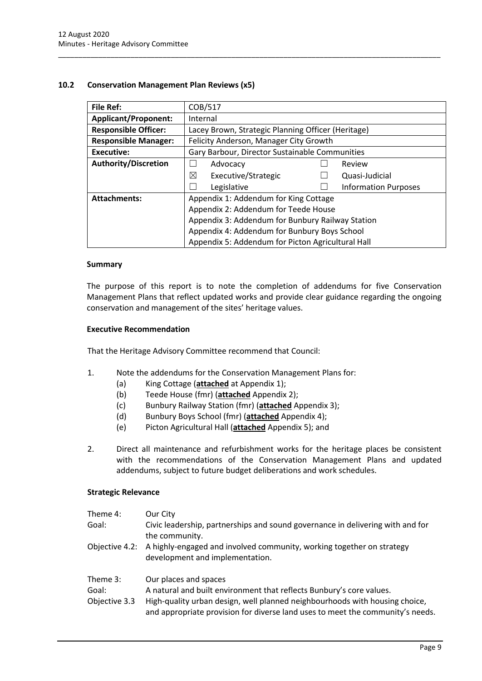## <span id="page-9-0"></span>**10.2 Conservation Management Plan Reviews (x5)**

| File Ref:                   | COB/517                                            |                             |  |
|-----------------------------|----------------------------------------------------|-----------------------------|--|
| <b>Applicant/Proponent:</b> | Internal                                           |                             |  |
| <b>Responsible Officer:</b> | Lacey Brown, Strategic Planning Officer (Heritage) |                             |  |
| <b>Responsible Manager:</b> | Felicity Anderson, Manager City Growth             |                             |  |
| <b>Executive:</b>           | Gary Barbour, Director Sustainable Communities     |                             |  |
| Authority/Discretion        | Advocacy                                           | Review                      |  |
|                             | ⊠<br>Executive/Strategic                           | Quasi-Judicial              |  |
|                             | Legislative                                        | <b>Information Purposes</b> |  |
| <b>Attachments:</b>         | Appendix 1: Addendum for King Cottage              |                             |  |
|                             | Appendix 2: Addendum for Teede House               |                             |  |
|                             | Appendix 3: Addendum for Bunbury Railway Station   |                             |  |
|                             | Appendix 4: Addendum for Bunbury Boys School       |                             |  |
|                             | Appendix 5: Addendum for Picton Agricultural Hall  |                             |  |

\_\_\_\_\_\_\_\_\_\_\_\_\_\_\_\_\_\_\_\_\_\_\_\_\_\_\_\_\_\_\_\_\_\_\_\_\_\_\_\_\_\_\_\_\_\_\_\_\_\_\_\_\_\_\_\_\_\_\_\_\_\_\_\_\_\_\_\_\_\_\_\_\_\_\_\_\_\_\_\_\_\_\_\_\_\_\_\_\_\_\_\_\_\_\_

### **Summary**

The purpose of this report is to note the completion of addendums for five Conservation Management Plans that reflect updated works and provide clear guidance regarding the ongoing conservation and management of the sites' heritage values.

#### **Executive Recommendation**

That the Heritage Advisory Committee recommend that Council:

- 1. Note the addendums for the Conservation Management Plans for:
	- (a) King Cottage (**attached** at Appendix 1);
	- (b) Teede House (fmr) (**attached** Appendix 2);
	- (c) Bunbury Railway Station (fmr) (**attached** Appendix 3);
	- (d) Bunbury Boys School (fmr) (**attached** Appendix 4);
	- (e) Picton Agricultural Hall (**attached** Appendix 5); and
- 2. Direct all maintenance and refurbishment works for the heritage places be consistent with the recommendations of the Conservation Management Plans and updated addendums, subject to future budget deliberations and work schedules.

### **Strategic Relevance**

| Theme 4:                           | Our City                                                                                                                                                                     |
|------------------------------------|------------------------------------------------------------------------------------------------------------------------------------------------------------------------------|
| Goal:                              | Civic leadership, partnerships and sound governance in delivering with and for<br>the community.                                                                             |
|                                    | Objective 4.2: A highly-engaged and involved community, working together on strategy<br>development and implementation.                                                      |
| Theme 3:<br>Goal:<br>Objective 3.3 | Our places and spaces<br>A natural and built environment that reflects Bunbury's core values.<br>High-quality urban design, well planned neighbourhoods with housing choice, |

and appropriate provision for diverse land uses to meet the community's needs.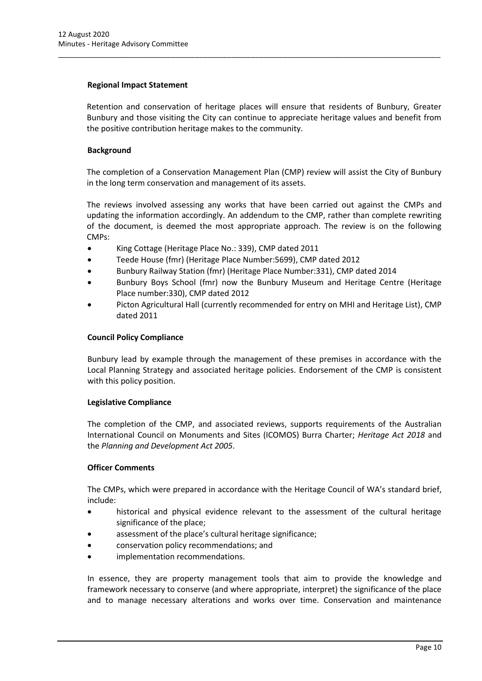## **Regional Impact Statement**

Retention and conservation of heritage places will ensure that residents of Bunbury, Greater Bunbury and those visiting the City can continue to appreciate heritage values and benefit from the positive contribution heritage makes to the community.

\_\_\_\_\_\_\_\_\_\_\_\_\_\_\_\_\_\_\_\_\_\_\_\_\_\_\_\_\_\_\_\_\_\_\_\_\_\_\_\_\_\_\_\_\_\_\_\_\_\_\_\_\_\_\_\_\_\_\_\_\_\_\_\_\_\_\_\_\_\_\_\_\_\_\_\_\_\_\_\_\_\_\_\_\_\_\_\_\_\_\_\_\_\_\_

## **Background**

The completion of a Conservation Management Plan (CMP) review will assist the City of Bunbury in the long term conservation and management of its assets.

The reviews involved assessing any works that have been carried out against the CMPs and updating the information accordingly. An addendum to the CMP, rather than complete rewriting of the document, is deemed the most appropriate approach. The review is on the following CMPs:

- King Cottage (Heritage Place No.: 339), CMP dated 2011
- Teede House (fmr) (Heritage Place Number:5699), CMP dated 2012
- Bunbury Railway Station (fmr) (Heritage Place Number:331), CMP dated 2014
- Bunbury Boys School (fmr) now the Bunbury Museum and Heritage Centre (Heritage Place number:330), CMP dated 2012
- Picton Agricultural Hall (currently recommended for entry on MHI and Heritage List), CMP dated 2011

## **Council Policy Compliance**

Bunbury lead by example through the management of these premises in accordance with the Local Planning Strategy and associated heritage policies. Endorsement of the CMP is consistent with this policy position.

### **Legislative Compliance**

The completion of the CMP, and associated reviews, supports requirements of the Australian International Council on Monuments and Sites (ICOMOS) Burra Charter; *Heritage Act 2018* and the *Planning and Development Act 2005*.

### **Officer Comments**

The CMPs, which were prepared in accordance with the Heritage Council of WA's standard brief, include:

- historical and physical evidence relevant to the assessment of the cultural heritage significance of the place;
- assessment of the place's cultural heritage significance;
- conservation policy recommendations; and
- implementation recommendations.

In essence, they are property management tools that aim to provide the knowledge and framework necessary to conserve (and where appropriate, interpret) the significance of the place and to manage necessary alterations and works over time. Conservation and maintenance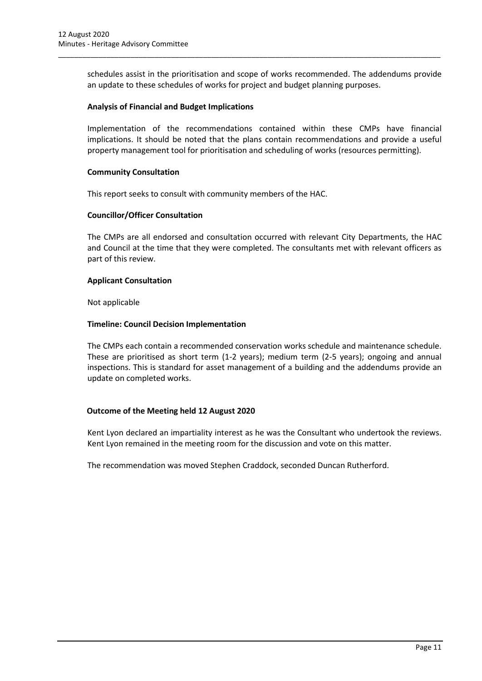schedules assist in the prioritisation and scope of works recommended. The addendums provide an update to these schedules of works for project and budget planning purposes.

\_\_\_\_\_\_\_\_\_\_\_\_\_\_\_\_\_\_\_\_\_\_\_\_\_\_\_\_\_\_\_\_\_\_\_\_\_\_\_\_\_\_\_\_\_\_\_\_\_\_\_\_\_\_\_\_\_\_\_\_\_\_\_\_\_\_\_\_\_\_\_\_\_\_\_\_\_\_\_\_\_\_\_\_\_\_\_\_\_\_\_\_\_\_\_

### **Analysis of Financial and Budget Implications**

Implementation of the recommendations contained within these CMPs have financial implications. It should be noted that the plans contain recommendations and provide a useful property management tool for prioritisation and scheduling of works (resources permitting).

### **Community Consultation**

This report seeks to consult with community members of the HAC.

## **Councillor/Officer Consultation**

The CMPs are all endorsed and consultation occurred with relevant City Departments, the HAC and Council at the time that they were completed. The consultants met with relevant officers as part of this review.

## **Applicant Consultation**

Not applicable

## **Timeline: Council Decision Implementation**

The CMPs each contain a recommended conservation works schedule and maintenance schedule. These are prioritised as short term (1-2 years); medium term (2-5 years); ongoing and annual inspections. This is standard for asset management of a building and the addendums provide an update on completed works.

### **Outcome of the Meeting held 12 August 2020**

Kent Lyon declared an impartiality interest as he was the Consultant who undertook the reviews. Kent Lyon remained in the meeting room for the discussion and vote on this matter.

The recommendation was moved Stephen Craddock, seconded Duncan Rutherford.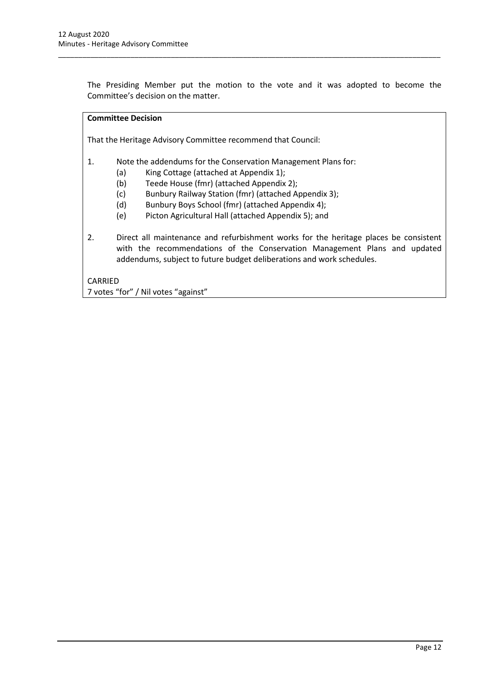The Presiding Member put the motion to the vote and it was adopted to become the Committee's decision on the matter.

\_\_\_\_\_\_\_\_\_\_\_\_\_\_\_\_\_\_\_\_\_\_\_\_\_\_\_\_\_\_\_\_\_\_\_\_\_\_\_\_\_\_\_\_\_\_\_\_\_\_\_\_\_\_\_\_\_\_\_\_\_\_\_\_\_\_\_\_\_\_\_\_\_\_\_\_\_\_\_\_\_\_\_\_\_\_\_\_\_\_\_\_\_\_\_

## **Committee Decision**

That the Heritage Advisory Committee recommend that Council:

- 1. Note the addendums for the Conservation Management Plans for:
	- (a) King Cottage (attached at Appendix 1);
	- (b) Teede House (fmr) (attached Appendix 2);
	- (c) Bunbury Railway Station (fmr) (attached Appendix 3);
	- (d) Bunbury Boys School (fmr) (attached Appendix 4);
	- (e) Picton Agricultural Hall (attached Appendix 5); and
- 2. Direct all maintenance and refurbishment works for the heritage places be consistent with the recommendations of the Conservation Management Plans and updated addendums, subject to future budget deliberations and work schedules.

CARRIED

7 votes "for" / Nil votes "against"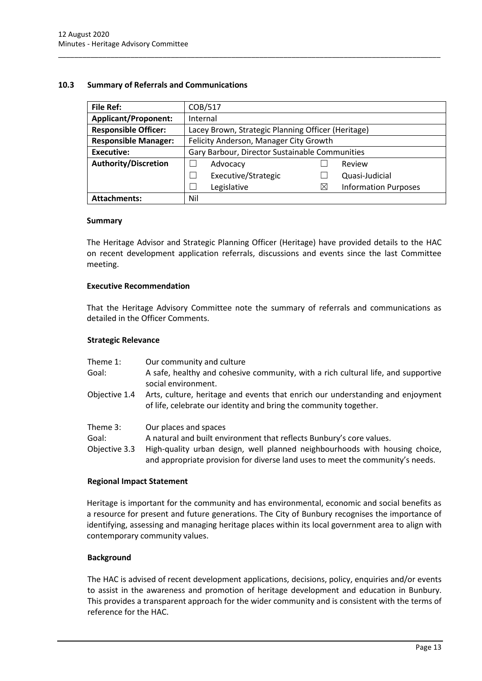## <span id="page-13-0"></span>**10.3 Summary of Referrals and Communications**

| <b>File Ref:</b>            | COB/517                                            |   |                             |
|-----------------------------|----------------------------------------------------|---|-----------------------------|
| <b>Applicant/Proponent:</b> | Internal                                           |   |                             |
| <b>Responsible Officer:</b> | Lacey Brown, Strategic Planning Officer (Heritage) |   |                             |
| <b>Responsible Manager:</b> | Felicity Anderson, Manager City Growth             |   |                             |
| Executive:                  | Gary Barbour, Director Sustainable Communities     |   |                             |
| <b>Authority/Discretion</b> | Advocacy                                           |   | Review                      |
|                             | Executive/Strategic<br>$\blacksquare$              |   | Quasi-Judicial              |
|                             | Legislative<br>$\overline{\phantom{a}}$            | Χ | <b>Information Purposes</b> |
| <b>Attachments:</b>         | Nil                                                |   |                             |

\_\_\_\_\_\_\_\_\_\_\_\_\_\_\_\_\_\_\_\_\_\_\_\_\_\_\_\_\_\_\_\_\_\_\_\_\_\_\_\_\_\_\_\_\_\_\_\_\_\_\_\_\_\_\_\_\_\_\_\_\_\_\_\_\_\_\_\_\_\_\_\_\_\_\_\_\_\_\_\_\_\_\_\_\_\_\_\_\_\_\_\_\_\_\_

#### **Summary**

The Heritage Advisor and Strategic Planning Officer (Heritage) have provided details to the HAC on recent development application referrals, discussions and events since the last Committee meeting.

### **Executive Recommendation**

That the Heritage Advisory Committee note the summary of referrals and communications as detailed in the Officer Comments.

#### **Strategic Relevance**

| Theme 1:<br>Goal:                  | Our community and culture<br>A safe, healthy and cohesive community, with a rich cultural life, and supportive<br>social environment.                                                                                                                          |
|------------------------------------|----------------------------------------------------------------------------------------------------------------------------------------------------------------------------------------------------------------------------------------------------------------|
| Objective 1.4                      | Arts, culture, heritage and events that enrich our understanding and enjoyment<br>of life, celebrate our identity and bring the community together.                                                                                                            |
| Theme 3:<br>Goal:<br>Objective 3.3 | Our places and spaces<br>A natural and built environment that reflects Bunbury's core values.<br>High-quality urban design, well planned neighbourhoods with housing choice,<br>and appropriate provision for diverse land uses to meet the community's needs. |

### **Regional Impact Statement**

Heritage is important for the community and has environmental, economic and social benefits as a resource for present and future generations. The City of Bunbury recognises the importance of identifying, assessing and managing heritage places within its local government area to align with contemporary community values.

### **Background**

The HAC is advised of recent development applications, decisions, policy, enquiries and/or events to assist in the awareness and promotion of heritage development and education in Bunbury. This provides a transparent approach for the wider community and is consistent with the terms of reference for the HAC.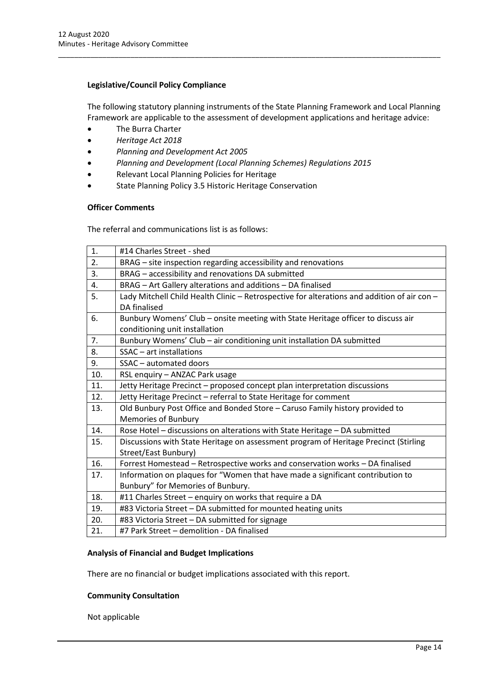## **Legislative/Council Policy Compliance**

The following statutory planning instruments of the State Planning Framework and Local Planning Framework are applicable to the assessment of development applications and heritage advice:

\_\_\_\_\_\_\_\_\_\_\_\_\_\_\_\_\_\_\_\_\_\_\_\_\_\_\_\_\_\_\_\_\_\_\_\_\_\_\_\_\_\_\_\_\_\_\_\_\_\_\_\_\_\_\_\_\_\_\_\_\_\_\_\_\_\_\_\_\_\_\_\_\_\_\_\_\_\_\_\_\_\_\_\_\_\_\_\_\_\_\_\_\_\_\_

- The Burra Charter
- *Heritage Act 2018*
- *Planning and Development Act 2005*
- *Planning and Development (Local Planning Schemes) Regulations 2015*
- Relevant Local Planning Policies for Heritage
- State Planning Policy 3.5 Historic Heritage Conservation

## **Officer Comments**

The referral and communications list is as follows:

| 1.  | #14 Charles Street - shed                                                                   |
|-----|---------------------------------------------------------------------------------------------|
| 2.  | BRAG – site inspection regarding accessibility and renovations                              |
| 3.  | BRAG - accessibility and renovations DA submitted                                           |
| 4.  | BRAG - Art Gallery alterations and additions - DA finalised                                 |
| 5.  | Lady Mitchell Child Health Clinic - Retrospective for alterations and addition of air con - |
|     | DA finalised                                                                                |
| 6.  | Bunbury Womens' Club - onsite meeting with State Heritage officer to discuss air            |
|     | conditioning unit installation                                                              |
| 7.  | Bunbury Womens' Club - air conditioning unit installation DA submitted                      |
| 8.  | $SSAC - art$ installations                                                                  |
| 9.  | SSAC - automated doors                                                                      |
| 10. | RSL enquiry - ANZAC Park usage                                                              |
| 11. | Jetty Heritage Precinct - proposed concept plan interpretation discussions                  |
| 12. | Jetty Heritage Precinct - referral to State Heritage for comment                            |
| 13. | Old Bunbury Post Office and Bonded Store - Caruso Family history provided to                |
|     | Memories of Bunbury                                                                         |
| 14. | Rose Hotel - discussions on alterations with State Heritage - DA submitted                  |
| 15. | Discussions with State Heritage on assessment program of Heritage Precinct (Stirling        |
|     | Street/East Bunbury)                                                                        |
| 16. | Forrest Homestead - Retrospective works and conservation works - DA finalised               |
| 17. | Information on plaques for "Women that have made a significant contribution to              |
|     | Bunbury" for Memories of Bunbury.                                                           |
| 18. | #11 Charles Street - enquiry on works that require a DA                                     |
| 19. | #83 Victoria Street - DA submitted for mounted heating units                                |
| 20. | #83 Victoria Street - DA submitted for signage                                              |
| 21. | #7 Park Street - demolition - DA finalised                                                  |

### **Analysis of Financial and Budget Implications**

There are no financial or budget implications associated with this report.

### **Community Consultation**

Not applicable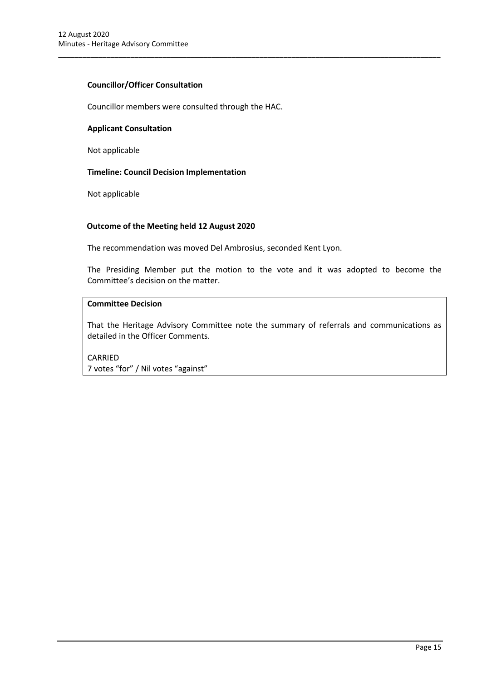## **Councillor/Officer Consultation**

Councillor members were consulted through the HAC.

### **Applicant Consultation**

Not applicable

## **Timeline: Council Decision Implementation**

Not applicable

## **Outcome of the Meeting held 12 August 2020**

The recommendation was moved Del Ambrosius, seconded Kent Lyon.

The Presiding Member put the motion to the vote and it was adopted to become the Committee's decision on the matter.

\_\_\_\_\_\_\_\_\_\_\_\_\_\_\_\_\_\_\_\_\_\_\_\_\_\_\_\_\_\_\_\_\_\_\_\_\_\_\_\_\_\_\_\_\_\_\_\_\_\_\_\_\_\_\_\_\_\_\_\_\_\_\_\_\_\_\_\_\_\_\_\_\_\_\_\_\_\_\_\_\_\_\_\_\_\_\_\_\_\_\_\_\_\_\_

## **Committee Decision**

That the Heritage Advisory Committee note the summary of referrals and communications as detailed in the Officer Comments.

CARRIED 7 votes "for" / Nil votes "against"